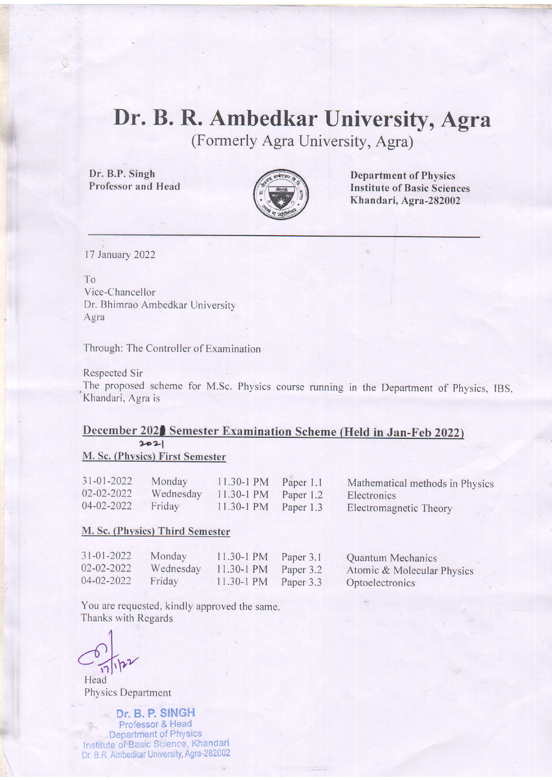## Dr. B. R. Ambedkar University, Agra

(Formerly Agra University, Agra)

Dr. B.P. Singh Professor and Hedd



Department of Physics Institute of Basic Sciences Khandari, Agra-282002

l7 January 2022

#### To

Vice-Chancellor Dr. Bhimrao Ambedkar University Agra

Through: The Controller of Examination

#### Respected Sir

The proposed scheme for M.Sc. Physics course running in the Department of Physics, IBS, Khandari, Agra is

# December 2021 Semester Examination Scheme (Held in Jan-Feb 2022)

#### M. Sc. (Phvsics) First Semester

| $31 - 01 - 2022$ | Monday | 11.30-1 PM Paper 1.1             | Mathematical methods in Physics |
|------------------|--------|----------------------------------|---------------------------------|
| 02-02-2022       |        | Wednesday 11.30-1 PM Paper 1.2   | Electronics                     |
| 04-02-2022       | Friday | $11.30 - 1 \text{ PM}$ Paper 1.3 | Electromagnetic Theory          |

#### M. Sc. (Phvsics) Third Semester

| $31 - 01 - 2022$ | Monday    | $11.30 - 1$ PM         | Paper 3.1 | Quantum Mechanics          |
|------------------|-----------|------------------------|-----------|----------------------------|
| 02-02-2022       | Wednesday | $11.30 - 1 \text{ PM}$ | Paper 3.2 | Atomic & Molecular Physics |
| 04-02-2022       | Friday    | $11.30 - 1 \text{ PM}$ | Paper 3.3 | Optoelectronics            |
|                  |           |                        |           |                            |

You are requested, kindly approved the same. Thanks with Regards

4  $\circ$  $C_{\eta_1|\mathbf{p}\mathbf{p}}$ 

Head Physics Department

Dr. B. P. SINGH . Professor & Head Department of Physics Institute of Basic Science, Khandari Dr. B.R. Ambedkar University, Agra-282002